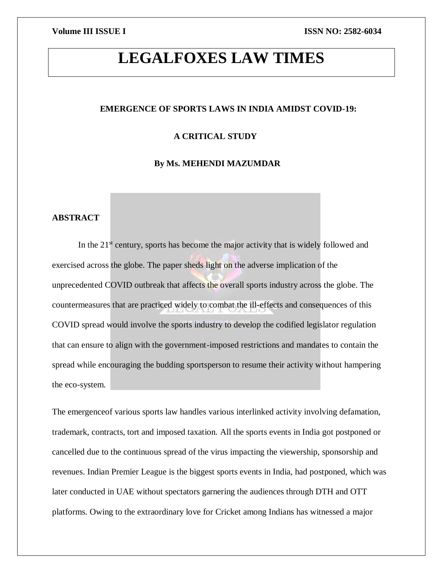# **LEGALFOXES LAW TIMES**

### **EMERGENCE OF SPORTS LAWS IN INDIA AMIDST COVID-19:**

### **A CRITICAL STUDY**

### **By Ms. MEHENDI MAZUMDAR**

### **ABSTRACT**

In the  $21<sup>st</sup>$  century, sports has become the major activity that is widely followed and exercised across the globe. The paper sheds light on the adverse implication of the unprecedented COVID outbreak that affects the overall sports industry across the globe. The countermeasures that are practiced widely to combat the ill-effects and consequences of this COVID spread would involve the sports industry to develop the codified legislator regulation that can ensure to align with the government-imposed restrictions and mandates to contain the spread while encouraging the budding sportsperson to resume their activity without hampering the eco-system.

The emergenceof various sports law handles various interlinked activity involving defamation, trademark, contracts, tort and imposed taxation. All the sports events in India got postponed or cancelled due to the continuous spread of the virus impacting the viewership, sponsorship and revenues. Indian Premier League is the biggest sports events in India, had postponed, which was later conducted in UAE without spectators garnering the audiences through DTH and OTT platforms. Owing to the extraordinary love for Cricket among Indians has witnessed a major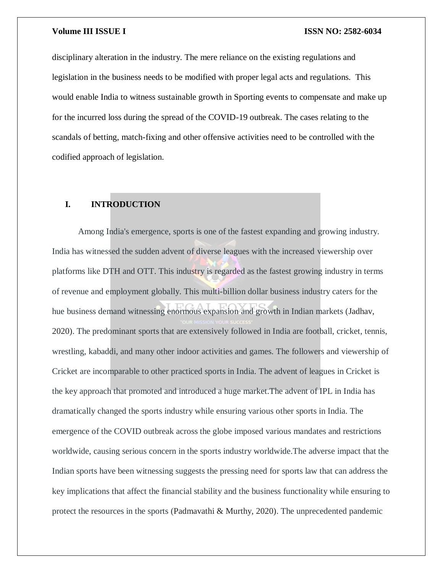disciplinary alteration in the industry. The mere reliance on the existing regulations and legislation in the business needs to be modified with proper legal acts and regulations. This would enable India to witness sustainable growth in Sporting events to compensate and make up for the incurred loss during the spread of the COVID-19 outbreak. The cases relating to the scandals of betting, match-fixing and other offensive activities need to be controlled with the codified approach of legislation.

### **I. INTRODUCTION**

Among India's emergence, sports is one of the fastest expanding and growing industry. India has witnessed the sudden advent of diverse leagues with the increased viewership over platforms like DTH and OTT. This industry is regarded as the fastest growing industry in terms of revenue and employment globally. This multi-billion dollar business industry caters for the hue business demand witnessing enormous expansion and growth in Indian markets (Jadhav, 2020). The predominant sports that are extensively followed in India are football, cricket, tennis, wrestling, kabaddi, and many other indoor activities and games. The followers and viewership of Cricket are incomparable to other practiced sports in India. The advent of leagues in Cricket is the key approach that promoted and introduced a huge market.The advent of IPL in India has dramatically changed the sports industry while ensuring various other sports in India. The emergence of the COVID outbreak across the globe imposed various mandates and restrictions worldwide, causing serious concern in the sports industry worldwide.The adverse impact that the Indian sports have been witnessing suggests the pressing need for sports law that can address the key implications that affect the financial stability and the business functionality while ensuring to protect the resources in the sports (Padmavathi & Murthy, 2020). The unprecedented pandemic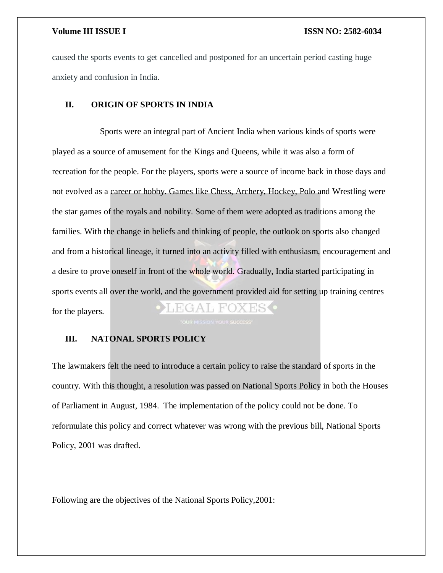caused the sports events to get cancelled and postponed for an uncertain period casting huge anxiety and confusion in India.

### **II. ORIGIN OF SPORTS IN INDIA**

 Sports were an integral part of Ancient India when various kinds of sports were played as a source of amusement for the Kings and Queens, while it was also a form of recreation for the people. For the players, sports were a source of income back in those days and not evolved as a career or hobby. Games like Chess, Archery, Hockey, Polo and Wrestling were the star games of the royals and nobility. Some of them were adopted as traditions among the families. With the change in beliefs and thinking of people, the outlook on sports also changed and from a historical lineage, it turned into an activity filled with enthusiasm, encouragement and a desire to prove oneself in front of the whole world. Gradually, India started participating in sports events all over the world, and the government provided aid for setting up training centres ∄A I⊥ FOХ for the players.

### **III. NATONAL SPORTS POLICY**

The lawmakers felt the need to introduce a certain policy to raise the standard of sports in the country. With this thought, a resolution was passed on National Sports Policy in both the Houses of Parliament in August, 1984. The implementation of the policy could not be done. To reformulate this policy and correct whatever was wrong with the previous bill, National Sports Policy, 2001 was drafted.

Following are the objectives of the National Sports Policy,2001: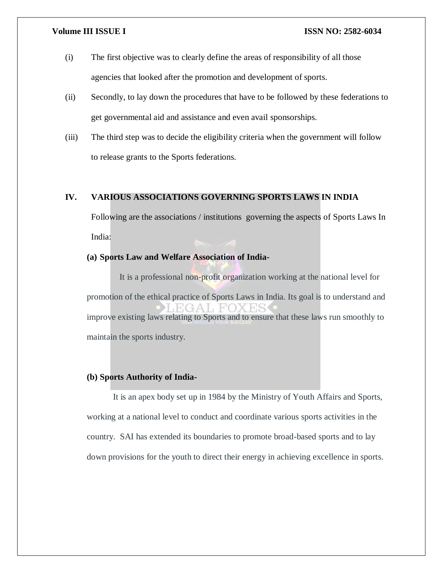- (i) The first objective was to clearly define the areas of responsibility of all those agencies that looked after the promotion and development of sports.
- (ii) Secondly, to lay down the procedures that have to be followed by these federations to get governmental aid and assistance and even avail sponsorships.
- (iii) The third step was to decide the eligibility criteria when the government will follow to release grants to the Sports federations.

### **IV. VARIOUS ASSOCIATIONS GOVERNING SPORTS LAWS IN INDIA**

Following are the associations / institutions governing the aspects of Sports Laws In India:

### **(a) Sports Law and Welfare Association of India-**

 It is a professional non-profit organization working at the national level for promotion of the ethical practice of Sports Laws in India. Its goal is to understand and improve existing laws relating to Sports and to ensure that these laws run smoothly to maintain the sports industry.

### **(b) Sports Authority of India-**

 It is an apex body set up in 1984 by the Ministry of Youth Affairs and Sports, working at a national level to conduct and coordinate various sports activities in the country. SAI has extended its boundaries to promote broad-based sports and to lay down provisions for the youth to direct their energy in achieving excellence in sports.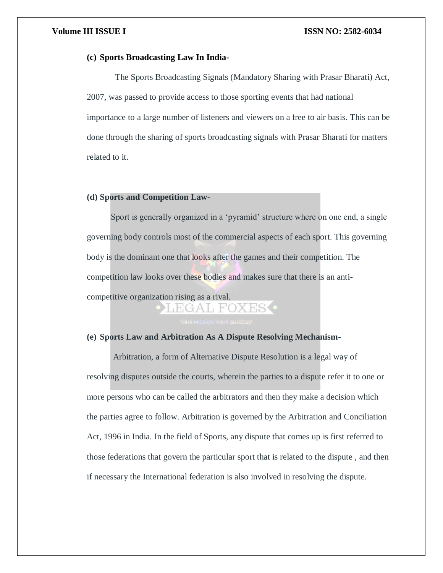### **(c) Sports Broadcasting Law In India-**

 The Sports Broadcasting Signals (Mandatory Sharing with Prasar Bharati) Act, 2007, was passed to provide access to those sporting events that had national importance to a large number of listeners and viewers on a free to air basis. This can be done through the sharing of sports broadcasting signals with Prasar Bharati for matters related to it.

### **(d) Sports and Competition Law-**

 Sport is generally organized in a 'pyramid' structure where on one end, a single governing body controls most of the commercial aspects of each sport. This governing body is the dominant one that looks after the games and their competition. The competition law looks over these bodies and makes sure that there is an anticompetitive organization rising as a rival.

### **(e) Sports Law and Arbitration As A Dispute Resolving Mechanism-**

 Arbitration, a form of Alternative Dispute Resolution is a legal way of resolving disputes outside the courts, wherein the parties to a dispute refer it to one or more persons who can be called the arbitrators and then they make a decision which the parties agree to follow. Arbitration is governed by the Arbitration and Conciliation Act, 1996 in India. In the field of Sports, any dispute that comes up is first referred to those federations that govern the particular sport that is related to the dispute , and then if necessary the International federation is also involved in resolving the dispute.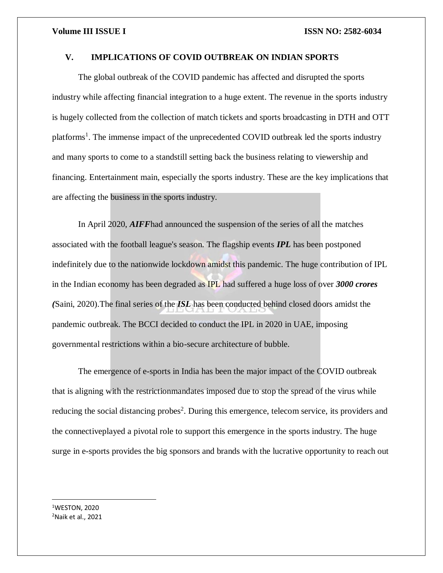### **V. IMPLICATIONS OF COVID OUTBREAK ON INDIAN SPORTS**

The global outbreak of the COVID pandemic has affected and disrupted the sports industry while affecting financial integration to a huge extent. The revenue in the sports industry is hugely collected from the collection of match tickets and sports broadcasting in DTH and OTT platforms<sup>1</sup>. The immense impact of the unprecedented COVID outbreak led the sports industry and many sports to come to a standstill setting back the business relating to viewership and financing. Entertainment main, especially the sports industry. These are the key implications that are affecting the business in the sports industry.

In April 2020, *AIFF*had announced the suspension of the series of all the matches associated with the football league's season. The flagship events *IPL* has been postponed indefinitely due to the nationwide lockdown amidst this pandemic. The huge contribution of IPL in the Indian economy has been degraded as IPL had suffered a huge loss of over *3000 crores (*Saini, 2020).The final series of the *ISL* has been conducted behind closed doors amidst the pandemic outbreak. The BCCI decided to conduct the IPL in 2020 in UAE, imposing governmental restrictions within a bio-secure architecture of bubble.

The emergence of e-sports in India has been the major impact of the COVID outbreak that is aligning with the restrictionmandates imposed due to stop the spread of the virus while reducing the social distancing probes<sup>2</sup>. During this emergence, telecom service, its providers and the connectiveplayed a pivotal role to support this emergence in the sports industry. The huge surge in e-sports provides the big sponsors and brands with the lucrative opportunity to reach out

<sup>1</sup>WESTON, 2020  $<sup>2</sup>$ Naik et al., 2021</sup>

 $\overline{\phantom{a}}$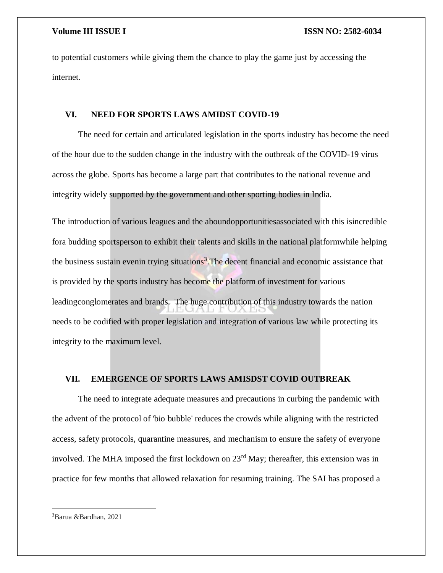to potential customers while giving them the chance to play the game just by accessing the internet.

### **VI. NEED FOR SPORTS LAWS AMIDST COVID-19**

The need for certain and articulated legislation in the sports industry has become the need of the hour due to the sudden change in the industry with the outbreak of the COVID-19 virus across the globe. Sports has become a large part that contributes to the national revenue and integrity widely supported by the government and other sporting bodies in India.

The introduction of various leagues and the aboundopportunitiesassociated with this isincredible fora budding sportsperson to exhibit their talents and skills in the national platformwhile helping the business sustain evenin trying situations<sup>3</sup>. The decent financial and economic assistance that is provided by the sports industry has become the platform of investment for various leadingconglomerates and brands. The huge contribution of this industry towards the nation needs to be codified with proper legislation and integration of various law while protecting its integrity to the maximum level.

### **VII. EMERGENCE OF SPORTS LAWS AMISDST COVID OUTBREAK**

The need to integrate adequate measures and precautions in curbing the pandemic with the advent of the protocol of 'bio bubble' reduces the crowds while aligning with the restricted access, safety protocols, quarantine measures, and mechanism to ensure the safety of everyone involved. The MHA imposed the first lockdown on 23<sup>rd</sup> May; thereafter, this extension was in practice for few months that allowed relaxation for resuming training. The SAI has proposed a

<sup>3</sup>Barua &Bardhan, 2021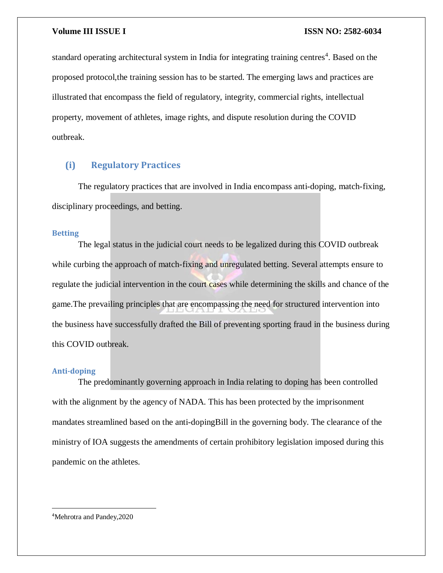standard operating architectural system in India for integrating training centres<sup>4</sup>. Based on the proposed protocol,the training session has to be started. The emerging laws and practices are illustrated that encompass the field of regulatory, integrity, commercial rights, intellectual property, movement of athletes, image rights, and dispute resolution during the COVID outbreak.

### **(i) Regulatory Practices**

The regulatory practices that are involved in India encompass anti-doping, match-fixing, disciplinary proceedings, and betting.

### **Betting**

The legal status in the judicial court needs to be legalized during this COVID outbreak while curbing the approach of match-fixing and unregulated betting. Several attempts ensure to regulate the judicial intervention in the court cases while determining the skills and chance of the game.The prevailing principles that are encompassing the need for structured intervention into the business have successfully drafted the Bill of preventing sporting fraud in the business during this COVID outbreak.

### **Anti-doping**

The predominantly governing approach in India relating to doping has been controlled with the alignment by the agency of NADA. This has been protected by the imprisonment mandates streamlined based on the anti-dopingBill in the governing body. The clearance of the ministry of IOA suggests the amendments of certain prohibitory legislation imposed during this pandemic on the athletes.

4Mehrotra and Pandey,2020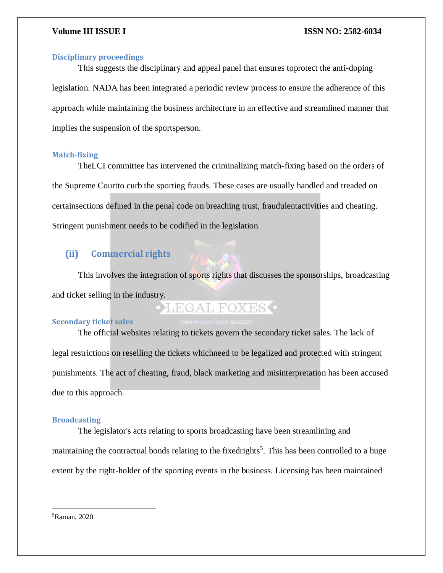### **Disciplinary proceedings**

This suggests the disciplinary and appeal panel that ensures toprotect the anti-doping legislation. NADA has been integrated a periodic review process to ensure the adherence of this approach while maintaining the business architecture in an effective and streamlined manner that implies the suspension of the sportsperson.

### **Match-fixing**

TheLCI committee has intervened the criminalizing match-fixing based on the orders of the Supreme Courtto curb the sporting frauds. These cases are usually handled and treaded on certainsections defined in the penal code on breaching trust, fraudulentactivities and cheating. Stringent punishment needs to be codified in the legislation.

### **(ii) Commercial rights**

This involves the integration of sports rights that discusses the sponsorships, broadcasting and ticket selling in the industry.

## **LEGAL FOXES**

### **Secondary ticket sales**

The official websites relating to tickets govern the secondary ticket sales. The lack of legal restrictions on reselling the tickets whichneed to be legalized and protected with stringent punishments. The act of cheating, fraud, black marketing and misinterpretation has been accused due to this approach.

### **Broadcasting**

The legislator's acts relating to sports broadcasting have been streamlining and maintaining the contractual bonds relating to the fixedrights<sup>5</sup>. This has been controlled to a huge extent by the right-holder of the sporting events in the business. Licensing has been maintained

5Raman, 2020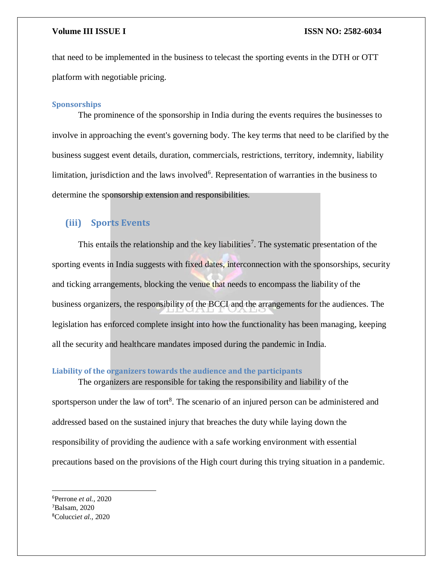that need to be implemented in the business to telecast the sporting events in the DTH or OTT platform with negotiable pricing.

### **Sponsorships**

The prominence of the sponsorship in India during the events requires the businesses to involve in approaching the event's governing body. The key terms that need to be clarified by the business suggest event details, duration, commercials, restrictions, territory, indemnity, liability limitation, jurisdiction and the laws involved<sup>6</sup>. Representation of warranties in the business to determine the sponsorship extension and responsibilities.

### **(iii) Sports Events**

This entails the relationship and the key liabilities<sup>7</sup>. The systematic presentation of the sporting events in India suggests with fixed dates, interconnection with the sponsorships, security and ticking arrangements, blocking the venue that needs to encompass the liability of the business organizers, the responsibility of the BCCI and the arrangements for the audiences. The legislation has enforced complete insight into how the functionality has been managing, keeping all the security and healthcare mandates imposed during the pandemic in India.

### **Liability of the organizers towards the audience and the participants**

The organizers are responsible for taking the responsibility and liability of the sportsperson under the law of tort $8$ . The scenario of an injured person can be administered and addressed based on the sustained injury that breaches the duty while laying down the responsibility of providing the audience with a safe working environment with essential precautions based on the provisions of the High court during this trying situation in a pandemic.

<sup>6</sup>Perrone *et al.,* 2020 <sup>7</sup>Balsam, 2020 8Colucci*et al.,* 2020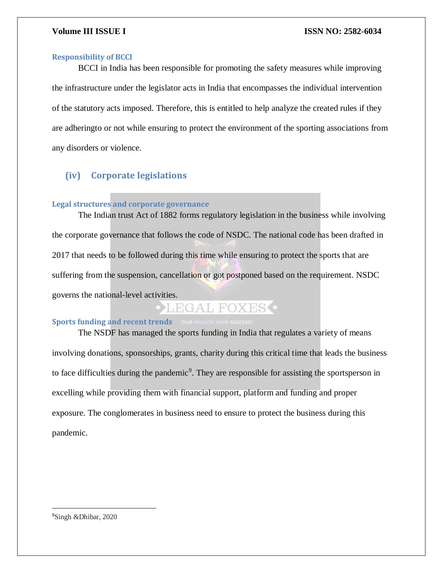### **Responsibility of BCCI**

BCCI in India has been responsible for promoting the safety measures while improving the infrastructure under the legislator acts in India that encompasses the individual intervention of the statutory acts imposed. Therefore, this is entitled to help analyze the created rules if they are adheringto or not while ensuring to protect the environment of the sporting associations from any disorders or violence.

### **(iv) Corporate legislations**

### **Legal structures and corporate governance**

The Indian trust Act of 1882 forms regulatory legislation in the business while involving the corporate governance that follows the code of NSDC. The national code has been drafted in 2017 that needs to be followed during this time while ensuring to protect the sports that are suffering from the suspension, cancellation or got postponed based on the requirement. NSDC governs the national-level activities.

## EGAL FOXES<sup>O</sup>

### **Sports funding and recent trends COUR MISSION YOUR SUCCESS**

The NSDF has managed the sports funding in India that regulates a variety of means involving donations, sponsorships, grants, charity during this critical time that leads the business to face difficulties during the pandemic<sup>9</sup>. They are responsible for assisting the sportsperson in excelling while providing them with financial support, platform and funding and proper exposure. The conglomerates in business need to ensure to protect the business during this pandemic.

9Singh &Dhibar, 2020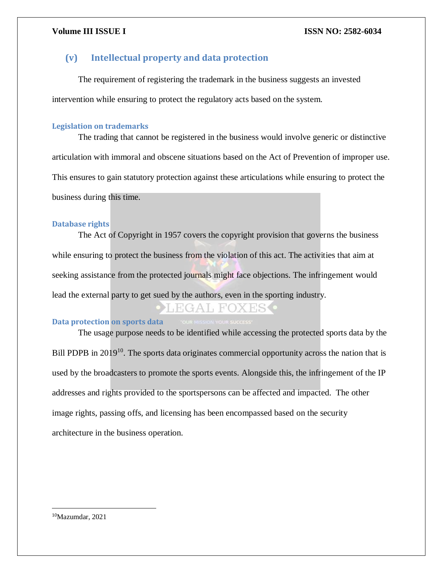### **(v) Intellectual property and data protection**

The requirement of registering the trademark in the business suggests an invested intervention while ensuring to protect the regulatory acts based on the system.

### **Legislation on trademarks**

The trading that cannot be registered in the business would involve generic or distinctive articulation with immoral and obscene situations based on the Act of Prevention of improper use. This ensures to gain statutory protection against these articulations while ensuring to protect the business during this time.

### **Database rights**

The Act of Copyright in 1957 covers the copyright provision that governs the business while ensuring to protect the business from the violation of this act. The activities that aim at seeking assistance from the protected journals might face objections. The infringement would lead the external party to get sued by the authors, even in the sporting industry.

### **Data protection on sports data**

The usage purpose needs to be identified while accessing the protected sports data by the Bill PDPB in 2019<sup>10</sup>. The sports data originates commercial opportunity across the nation that is used by the broadcasters to promote the sports events. Alongside this, the infringement of the IP addresses and rights provided to the sportspersons can be affected and impacted. The other image rights, passing offs, and licensing has been encompassed based on the security architecture in the business operation.

10Mazumdar, 2021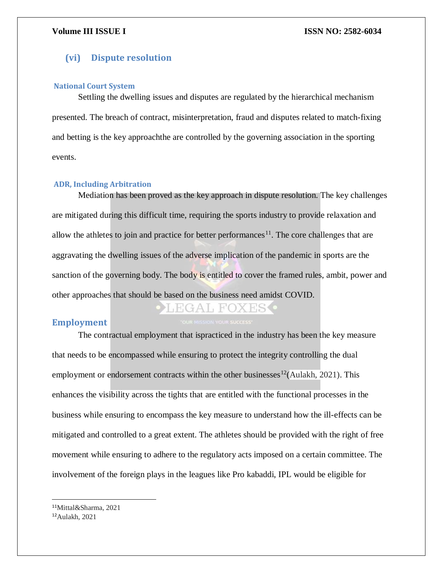### **(vi) Dispute resolution**

### **National Court System**

Settling the dwelling issues and disputes are regulated by the hierarchical mechanism presented. The breach of contract, misinterpretation, fraud and disputes related to match-fixing and betting is the key approachthe are controlled by the governing association in the sporting events.

### **ADR, Including Arbitration**

Mediation has been proved as the key approach in dispute resolution. The key challenges are mitigated during this difficult time, requiring the sports industry to provide relaxation and allow the athletes to join and practice for better performances<sup>11</sup>. The core challenges that are aggravating the dwelling issues of the adverse implication of the pandemic in sports are the sanction of the governing body. The body is entitled to cover the framed rules, ambit, power and other approaches that should be based on the business need amidst COVID.

### **Employment**

EGAL FOXES

The contractual employment that ispracticed in the industry has been the key measure that needs to be encompassed while ensuring to protect the integrity controlling the dual employment or endorsement contracts within the other businesses<sup>12</sup>(Aulakh, 2021). This enhances the visibility across the tights that are entitled with the functional processes in the business while ensuring to encompass the key measure to understand how the ill-effects can be mitigated and controlled to a great extent. The athletes should be provided with the right of free movement while ensuring to adhere to the regulatory acts imposed on a certain committee. The involvement of the foreign plays in the leagues like Pro kabaddi, IPL would be eligible for

 $\overline{\phantom{a}}$ 

<sup>11</sup>Mittal&Sharma, 2021

<sup>12</sup>Aulakh, 2021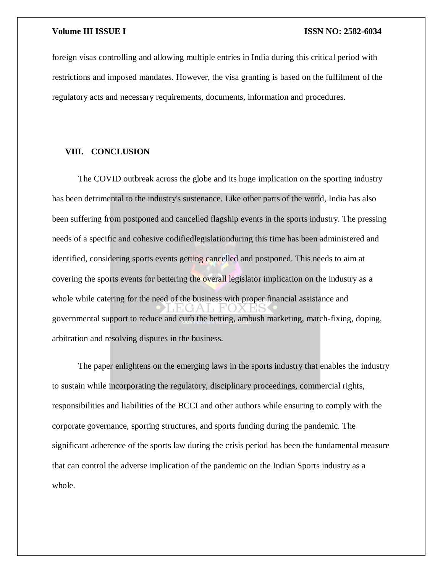foreign visas controlling and allowing multiple entries in India during this critical period with restrictions and imposed mandates. However, the visa granting is based on the fulfilment of the regulatory acts and necessary requirements, documents, information and procedures.

### **VIII. CONCLUSION**

The COVID outbreak across the globe and its huge implication on the sporting industry has been detrimental to the industry's sustenance. Like other parts of the world, India has also been suffering from postponed and cancelled flagship events in the sports industry. The pressing needs of a specific and cohesive codifiedlegislationduring this time has been administered and identified, considering sports events getting cancelled and postponed. This needs to aim at covering the sports events for bettering the overall legislator implication on the industry as a whole while catering for the need of the business with proper financial assistance and governmental support to reduce and curb the betting, ambush marketing, match-fixing, doping, arbitration and resolving disputes in the business.

The paper enlightens on the emerging laws in the sports industry that enables the industry to sustain while incorporating the regulatory, disciplinary proceedings, commercial rights, responsibilities and liabilities of the BCCI and other authors while ensuring to comply with the corporate governance, sporting structures, and sports funding during the pandemic. The significant adherence of the sports law during the crisis period has been the fundamental measure that can control the adverse implication of the pandemic on the Indian Sports industry as a whole.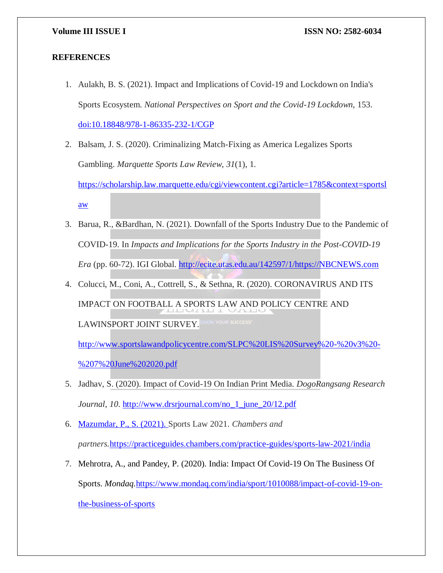### **REFERENCES**

- 1. Aulakh, B. S. (2021). Impact and Implications of Covid-19 and Lockdown on India's Sports Ecosystem. *National Perspectives on Sport and the Covid-19 Lockdown*, 153. [doi:10.18848/978-1-86335-232-1/CGP](http://dx.doi.org/10.18848/978-1-86335-232-1/CGP)
- 2. Balsam, J. S. (2020). Criminalizing Match-Fixing as America Legalizes Sports Gambling. *Marquette Sports Law Review*, *31*(1), 1. [https://scholarship.law.marquette.edu/cgi/viewcontent.cgi?article=1785&context=sportsl](https://scholarship.law.marquette.edu/cgi/viewcontent.cgi?article=1785&context=sportslaw) [aw](https://scholarship.law.marquette.edu/cgi/viewcontent.cgi?article=1785&context=sportslaw)
- 3. Barua, R., &Bardhan, N. (2021). Downfall of the Sports Industry Due to the Pandemic of COVID-19. In *Impacts and Implications for the Sports Industry in the Post-COVID-19 Era* (pp. 60-72). IGI Global. [http://ecite.utas.edu.au/142597/1/https://NBCNEWS.com](http://ecite.utas.edu.au/142597/1/https:/NBCNEWS.com)
- 4. Colucci, M., Coni, A., Cottrell, S., & Sethna, R. (2020). CORONAVIRUS AND ITS IMPACT ON FOOTBALL A SPORTS LAW AND POLICY CENTRE AND LAWINSPORT JOINT SURVEY.

[http://www.sportslawandpolicycentre.com/SLPC%20LIS%20Survey%20-%20v3%20-](http://www.sportslawandpolicycentre.com/SLPC%20LIS%20Survey%20-%20v3%20-%207%20June%202020.pdf) [%207%20June%202020.pdf](http://www.sportslawandpolicycentre.com/SLPC%20LIS%20Survey%20-%20v3%20-%207%20June%202020.pdf)

- 5. Jadhav, S. (2020). Impact of Covid-19 On Indian Print Media. *DogoRangsang Research Journal*, *10*. [http://www.drsrjournal.com/no\\_1\\_june\\_20/12.pdf](http://www.drsrjournal.com/no_1_june_20/12.pdf)
- 6. Mazumdar, P., S. (2021). Sports Law 2021. *Chambers and partners.*<https://practiceguides.chambers.com/practice-guides/sports-law-2021/india>
- 7. Mehrotra, A., and Pandey, P. (2020). India: Impact Of Covid-19 On The Business Of Sports. *Mondaq.*[https://www.mondaq.com/india/sport/1010088/impact-of-covid-19-on](https://www.mondaq.com/india/sport/1010088/impact-of-covid-19-on-the-business-of-sports)[the-business-of-sports](https://www.mondaq.com/india/sport/1010088/impact-of-covid-19-on-the-business-of-sports)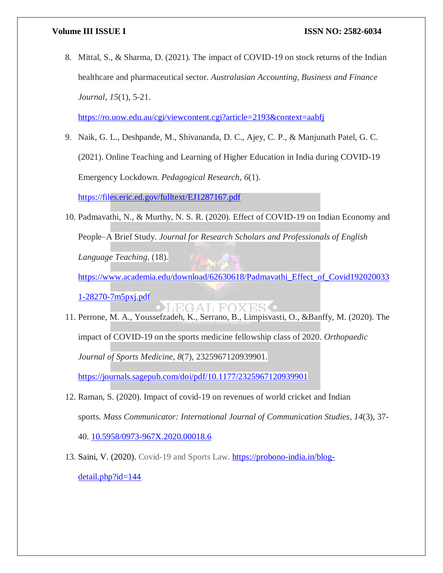8. Mittal, S., & Sharma, D. (2021). The impact of COVID-19 on stock returns of the Indian healthcare and pharmaceutical sector. *Australasian Accounting, Business and Finance Journal*, *15*(1), 5-21.

<https://ro.uow.edu.au/cgi/viewcontent.cgi?article=2193&context=aabfj>

9. Naik, G. L., Deshpande, M., Shivananda, D. C., Ajey, C. P., & Manjunath Patel, G. C. (2021). Online Teaching and Learning of Higher Education in India during COVID-19 Emergency Lockdown. *Pedagogical Research*, *6*(1).

<https://files.eric.ed.gov/fulltext/EJ1287167.pdf>

10. Padmavathi, N., & Murthy, N. S. R. (2020). Effect of COVID-19 on Indian Economy and People–A Brief Study. *Journal for Research Scholars and Professionals of English Language Teaching*, (18).

[https://www.academia.edu/download/62630618/Padmavathi\\_Effect\\_of\\_Covid192020033](https://www.academia.edu/download/62630618/Padmavathi_Effect_of_Covid1920200331-28270-7m5pxj.pdf)

[1-28270-7m5pxj.pdf](https://www.academia.edu/download/62630618/Padmavathi_Effect_of_Covid1920200331-28270-7m5pxj.pdf)

**EGAL FOX** 11. Perrone, M. A., Youssefzadeh, K., Serrano, B., Limpisvasti, O., &Banffy, M. (2020). The impact of COVID-19 on the sports medicine fellowship class of 2020. *Orthopaedic Journal of Sports Medicine*, *8*(7), 2325967120939901.

<https://journals.sagepub.com/doi/pdf/10.1177/2325967120939901>

- 12. Raman, S. (2020). Impact of covid-19 on revenues of world cricket and Indian sports. *Mass Communicator: International Journal of Communication Studies*, *14*(3), 37- 40. [10.5958/0973-967X.2020.00018.6](http://dx.doi.org/10.5958/0973-967X.2020.00018.6)
- 13. Saini, V. (2020). Covid-19 and Sports Law. [https://probono-india.in/blog](https://probono-india.in/blog-detail.php?id=144)[detail.php?id=144](https://probono-india.in/blog-detail.php?id=144)